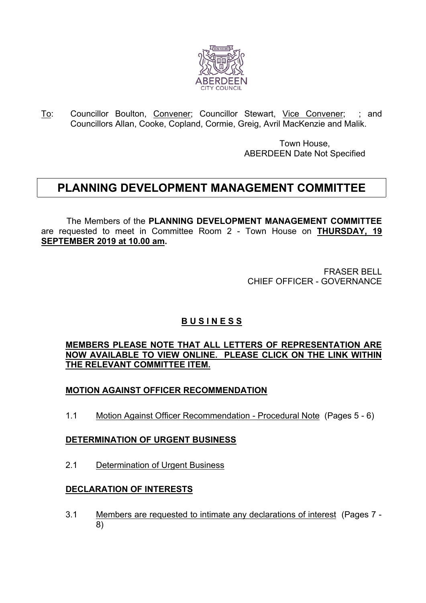

To: Councillor Boulton, Convener; Councillor Stewart, Vice Convener; ; and Councillors Allan, Cooke, Copland, Cormie, Greig, Avril MacKenzie and Malik.

> Town House, ABERDEEN Date Not Specified

# **PLANNING DEVELOPMENT MANAGEMENT COMMITTEE**

The Members of the **PLANNING DEVELOPMENT MANAGEMENT COMMITTEE** are requested to meet in Committee Room 2 - Town House on **THURSDAY, 19 SEPTEMBER 2019 at 10.00 am.**

> FRASER BELL CHIEF OFFICER - GOVERNANCE

## **B U S I N E S S**

#### **MEMBERS PLEASE NOTE THAT ALL LETTERS OF REPRESENTATION ARE NOW AVAILABLE TO VIEW ONLINE. PLEASE CLICK ON THE LINK WITHIN THE RELEVANT COMMITTEE ITEM.**

#### **MOTION AGAINST OFFICER RECOMMENDATION**

1.1 Motion Against Officer Recommendation - Procedural Note (Pages 5 - 6)

#### **DETERMINATION OF URGENT BUSINESS**

2.1 Determination of Urgent Business

#### **DECLARATION OF INTERESTS**

3.1 Members are requested to intimate any declarations of interest (Pages 7 - 8)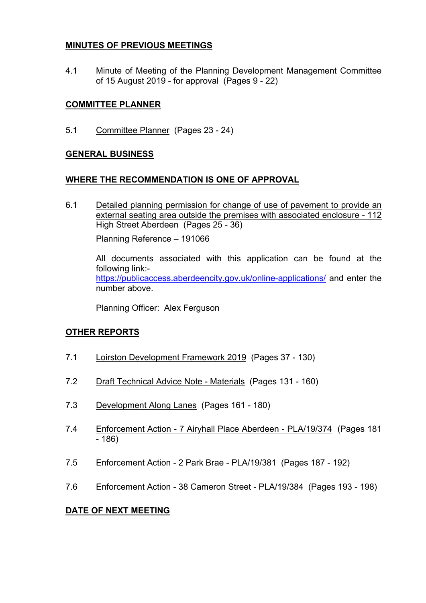#### **MINUTES OF PREVIOUS MEETINGS**

4.1 Minute of Meeting of the Planning Development Management Committee of 15 August 2019 - for approval (Pages 9 - 22)

#### **COMMITTEE PLANNER**

5.1 Committee Planner (Pages 23 - 24)

#### **GENERAL BUSINESS**

#### **WHERE THE RECOMMENDATION IS ONE OF APPROVAL**

6.1 Detailed planning permission for change of use of pavement to provide an external seating area outside the premises with associated enclosure - 112 High Street Aberdeen (Pages 25 - 36)

Planning Reference – 191066

All documents associated with this application can be found at the following link: <https://publicaccess.aberdeencity.gov.uk/online-applications/> and enter the number above.

Planning Officer: Alex Ferguson

#### **OTHER REPORTS**

- 7.1 Loirston Development Framework 2019 (Pages 37 130)
- 7.2 Draft Technical Advice Note Materials (Pages 131 160)
- 7.3 Development Along Lanes (Pages 161 180)
- 7.4 Enforcement Action 7 Airyhall Place Aberdeen PLA/19/374 (Pages 181 - 186)
- 7.5 Enforcement Action 2 Park Brae PLA/19/381 (Pages 187 192)
- 7.6 Enforcement Action 38 Cameron Street PLA/19/384 (Pages 193 198)

#### **DATE OF NEXT MEETING**